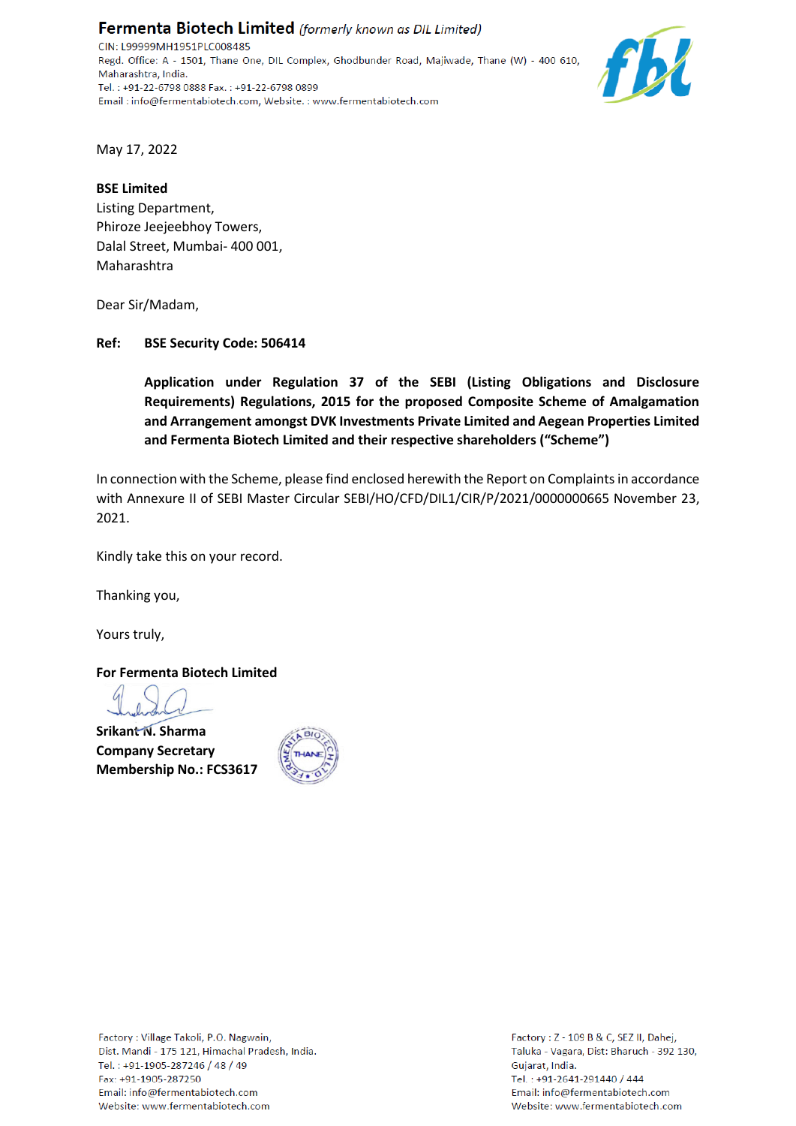Fermenta Biotech Limited (formerly known as DIL Limited) CIN: L99999MH1951PLC008485 Regd. Office: A - 1501, Thane One, DIL Complex, Ghodbunder Road, Majiwade, Thane (W) - 400 610, Maharashtra, India. Tel.: +91-22-6798 0888 Fax.: +91-22-6798 0899 Email: info@fermentabiotech.com, Website.: www.fermentabiotech.com



May 17, 2022

### **BSE Limited**

Listing Department, Phiroze Jeejeebhoy Towers, Dalal Street, Mumbai- 400 001, Maharashtra

Dear Sir/Madam,

## **Ref: BSE Security Code: 506414**

**Application under Regulation 37 of the SEBI (Listing Obligations and Disclosure Requirements) Regulations, 2015 for the proposed Composite Scheme of Amalgamation and Arrangement amongst DVK Investments Private Limited and Aegean Properties Limited and Fermenta Biotech Limited and their respective shareholders ("Scheme")**

In connection with the Scheme, please find enclosed herewith the Report on Complaints in accordance with Annexure II of SEBI Master Circular SEBI/HO/CFD/DIL1/CIR/P/2021/0000000665 November 23, 2021.

Kindly take this on your record.

Thanking you,

Yours truly,

**For Fermenta Biotech Limited**

**Srikant N. Sharma Company Secretary Membership No.: FCS3617**



Factory: Z - 109 B & C, SEZ II, Dahej, Taluka - Vagara, Dist: Bharuch - 392 130, Gujarat, India. Tel.: +91-2641-291440 / 444 Email: info@fermentabiotech.com Website: www.fermentabiotech.com